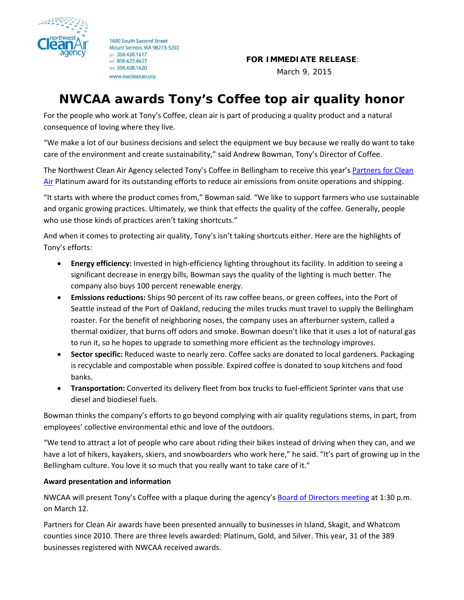

1600 South Second Street Mount Vernon, WA 98273-5202 ph 360.428.1617 tel 800.622.4627 fax 360.428.1620 www.nwcleanair.org

**FOR IMMEDIATE RELEASE**:

March 9, 2015

## **NWCAA awards Tony's Coffee top air quality honor**

For the people who work at Tony's Coffee, clean air is part of producing a quality product and a natural consequence of loving where they live.

"We make a lot of our business decisions and select the equipment we buy because we really do want to take care of the environment and create sustainability," said Andrew Bowman, Tony's Director of Coffee.

The Northwest Clean Air Agency selected Tony's Coffee in Bellingham to receive this year's Partners for Clean Air Platinum award for its [outstanding](http://www.nwcleanair.org/aqPrograms/busInfo_pg4.htm) efforts to reduce air emissions from onsite operations and shipping.

"It starts with where the product comes from," Bowman said. "We like to support farmers who use sustainable and organic growing practices. Ultimately, we think that effects the quality of the coffee. Generally, people who use those kinds of practices aren't taking shortcuts."

And when it comes to protecting air quality, Tony's isn't taking shortcuts either. Here are the highlights of Tony's efforts:

- **Energy efficiency:** Invested in high‐efficiency lighting throughout its facility. In addition to seeing a significant decrease in energy bills, Bowman says the quality of the lighting is much better. The company also buys 100 percent renewable energy.
- **Emissions reductions:** Ships 90 percent of its raw coffee beans, or green coffees, into the Port of Seattle instead of the Port of Oakland, reducing the miles trucks must travel to supply the Bellingham roaster. For the benefit of neighboring noses, the company uses an afterburner system, called a thermal oxidizer, that burns off odors and smoke. Bowman doesn't like that it uses a lot of natural gas to run it, so he hopes to upgrade to something more efficient as the technology improves.
- **Sector specific:** Reduced waste to nearly zero. Coffee sacks are donated to local gardeners. Packaging is recyclable and compostable when possible. Expired coffee is donated to soup kitchens and food banks.
- **Transportation:** Converted its delivery fleet from box trucks to fuel‐efficient Sprinter vans that use diesel and biodiesel fuels.

Bowman thinks the company's efforts to go beyond complying with air quality regulations stems, in part, from employees' collective environmental ethic and love of the outdoors.

"We tend to attract a lot of people who care about riding their bikes instead of driving when they can, and we have a lot of hikers, kayakers, skiers, and snowboarders who work here," he said. "It's part of growing up in the Bellingham culture. You love it so much that you really want to take care of it."

## **Award presentation and information**

NWCAA will present Tony's Coffee with a plaque during the agency's Board of [Directors](http://www.nwcleanair.org/about/board.htm) meeting at 1:30 p.m. on March 12.

Partners for Clean Air awards have been presented annually to businesses in Island, Skagit, and Whatcom counties since 2010. There are three levels awarded: Platinum, Gold, and Silver. This year, 31 of the 389 businesses registered with NWCAA received awards.